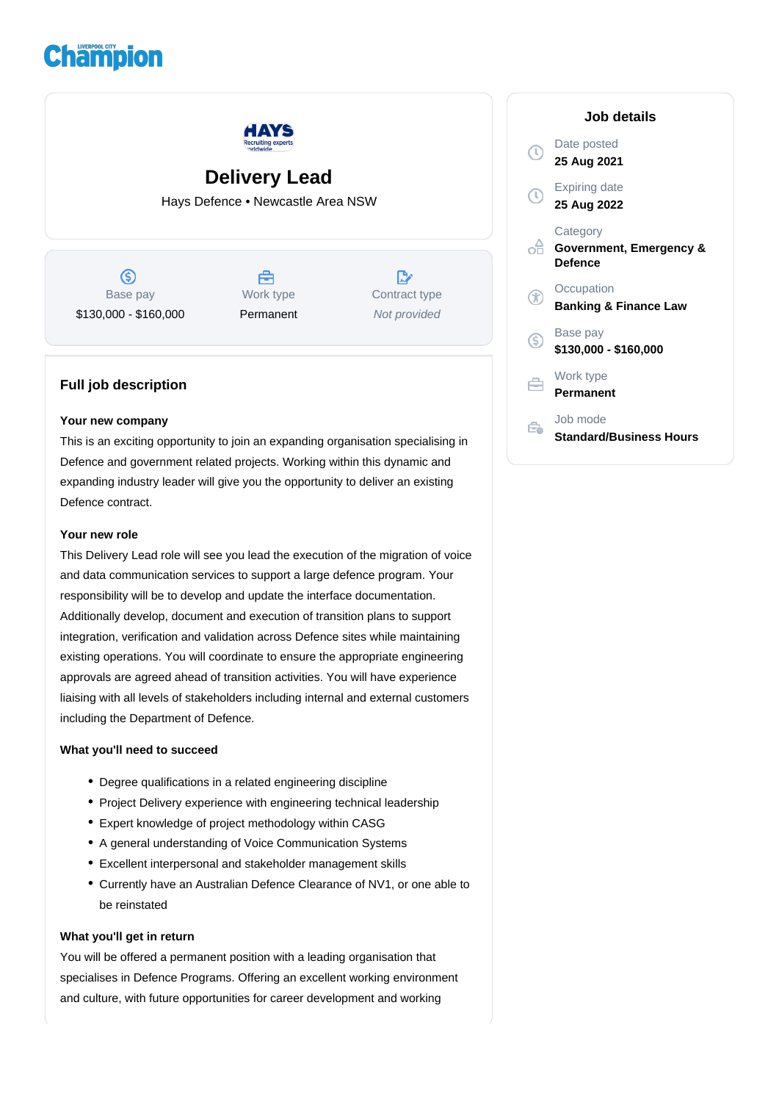# **Champion**



# **Delivery Lead**

Hays Defence • Newcastle Area NSW

 $\circledS$ Base pay \$130,000 - \$160,000

曲 Work type Permanent

 $\mathbb{D}$ Contract type Not provided

## **Full job description**

#### **Your new company**

This is an exciting opportunity to join an expanding organisation specialising in Defence and government related projects. Working within this dynamic and expanding industry leader will give you the opportunity to deliver an existing Defence contract.

#### **Your new role**

This Delivery Lead role will see you lead the execution of the migration of voice and data communication services to support a large defence program. Your responsibility will be to develop and update the interface documentation. Additionally develop, document and execution of transition plans to support integration, verification and validation across Defence sites while maintaining existing operations. You will coordinate to ensure the appropriate engineering approvals are agreed ahead of transition activities. You will have experience liaising with all levels of stakeholders including internal and external customers including the Department of Defence.

### **What you'll need to succeed**

- Degree qualifications in a related engineering discipline
- Project Delivery experience with engineering technical leadership
- Expert knowledge of project methodology within CASG
- A general understanding of Voice Communication Systems
- Excellent interpersonal and stakeholder management skills
- Currently have an Australian Defence Clearance of NV1, or one able to be reinstated

#### **What you'll get in return**

You will be offered a permanent position with a leading organisation that specialises in Defence Programs. Offering an excellent working environment and culture, with future opportunities for career development and working

| Job details |                                                |
|-------------|------------------------------------------------|
|             | Date posted<br>25 Aug 2021                     |
|             | <b>Expiring date</b><br>25 Aug 2022            |
|             | Category<br>Government, Emergency &<br>Defence |
|             | Occupation<br><b>Banking &amp; Finance Law</b> |
| (S)         | Base pay<br>\$130,000 - \$160,000              |
|             | Work type<br>Permanent                         |
|             | Job mode<br><b>Standard/Business Hours</b>     |